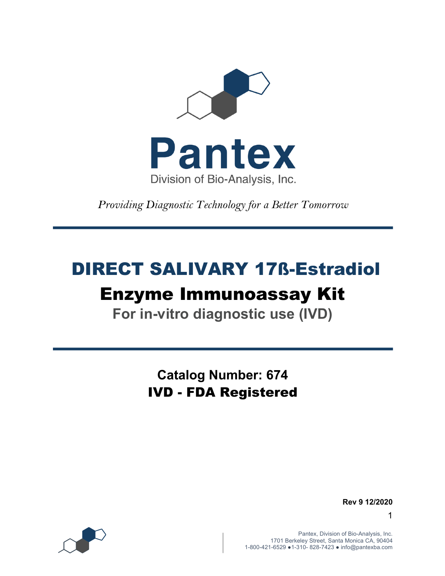

*Providing Diagnostic Technology for a Better Tomorrow* 

# DIRECT SALIVARY 17ß-Estradiol Enzyme Immunoassay Kit

**For in-vitro diagnostic use (IVD)**

**Catalog Number: 674** IVD - FDA Registered



**Rev 9 12/2020**

1

Pantex, Division of Bio-Analysis, Inc. 1701 Berkeley Street, Santa Monica CA, 90404 1-800-421-6529 ●1-310- 828-7423 ● info@pantexba.com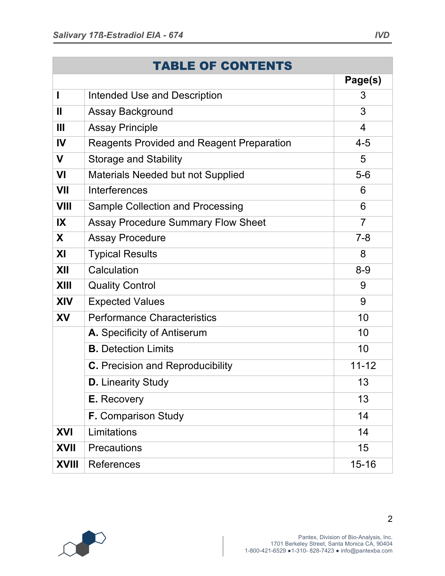|              | <b>TABLE OF CONTENTS</b>                         |                |
|--------------|--------------------------------------------------|----------------|
|              |                                                  | Page(s)        |
|              | <b>Intended Use and Description</b>              | 3              |
| Ш            | <b>Assay Background</b>                          | 3              |
| Ш            | <b>Assay Principle</b>                           | $\overline{4}$ |
| IV           | <b>Reagents Provided and Reagent Preparation</b> | $4 - 5$        |
| $\mathbf V$  | <b>Storage and Stability</b>                     | 5              |
| VI           | Materials Needed but not Supplied                | $5-6$          |
| VII          | Interferences                                    | 6              |
| <b>VIII</b>  | Sample Collection and Processing                 | 6              |
| IX           | <b>Assay Procedure Summary Flow Sheet</b>        | $\overline{7}$ |
| X            | <b>Assay Procedure</b>                           | $7 - 8$        |
| XI           | <b>Typical Results</b>                           | 8              |
| XII          | Calculation                                      | $8-9$          |
| <b>XIII</b>  | <b>Quality Control</b>                           | 9              |
| XIV          | <b>Expected Values</b>                           | 9              |
| XV           | <b>Performance Characteristics</b>               | 10             |
|              | A. Specificity of Antiserum                      | 10             |
|              | <b>B.</b> Detection Limits                       | 10             |
|              | <b>C.</b> Precision and Reproducibility          | $11 - 12$      |
|              | <b>D.</b> Linearity Study                        | 13             |
|              | <b>E.</b> Recovery                               | 13             |
|              | <b>F.</b> Comparison Study                       | 14             |
| XVI          | Limitations                                      | 14             |
| <b>XVII</b>  | Precautions                                      | 15             |
| <b>XVIII</b> | <b>References</b>                                | $15 - 16$      |

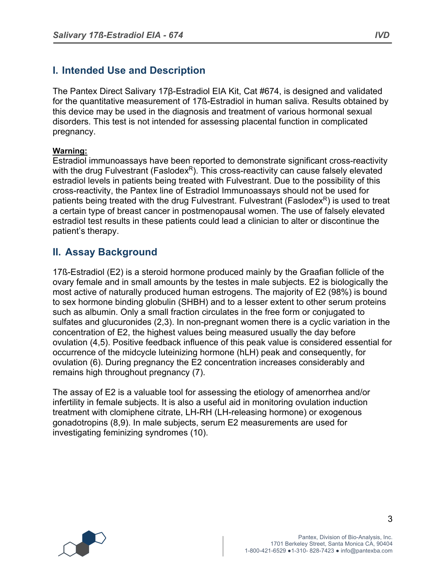## **I. Intended Use and Description**

The Pantex Direct Salivary 17β-Estradiol EIA Kit, Cat #674, is designed and validated for the quantitative measurement of 17ß-Estradiol in human saliva. Results obtained by this device may be used in the diagnosis and treatment of various hormonal sexual disorders. This test is not intended for assessing placental function in complicated pregnancy.

#### **Warning:**

Estradiol immunoassays have been reported to demonstrate significant cross-reactivity with the drug Fulvestrant (Faslodex<sup>R</sup>). This cross-reactivity can cause falsely elevated estradiol levels in patients being treated with Fulvestrant. Due to the possibility of this cross-reactivity, the Pantex line of Estradiol Immunoassays should not be used for patients being treated with the drug Fulvestrant. Fulvestrant (Faslodex<sup>R</sup>) is used to treat a certain type of breast cancer in postmenopausal women. The use of falsely elevated estradiol test results in these patients could lead a clinician to alter or discontinue the patient's therapy.

## **II. Assay Background**

17ß-Estradiol (E2) is a steroid hormone produced mainly by the Graafian follicle of the ovary female and in small amounts by the testes in male subjects. E2 is biologically the most active of naturally produced human estrogens. The majority of E2 (98%) is bound to sex hormone binding globulin (SHBH) and to a lesser extent to other serum proteins such as albumin. Only a small fraction circulates in the free form or conjugated to sulfates and glucuronides (2,3). In non-pregnant women there is a cyclic variation in the concentration of E2, the highest values being measured usually the day before ovulation (4,5). Positive feedback influence of this peak value is considered essential for occurrence of the midcycle luteinizing hormone (hLH) peak and consequently, for ovulation (6). During pregnancy the E2 concentration increases considerably and remains high throughout pregnancy (7).

The assay of E2 is a valuable tool for assessing the etiology of amenorrhea and/or infertility in female subjects. It is also a useful aid in monitoring ovulation induction treatment with clomiphene citrate, LH-RH (LH-releasing hormone) or exogenous gonadotropins (8,9). In male subjects, serum E2 measurements are used for investigating feminizing syndromes (10).

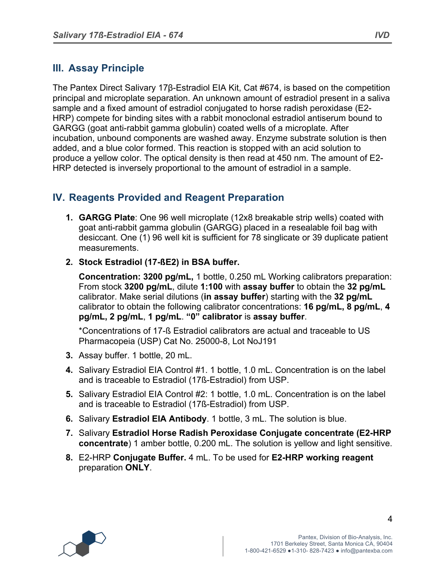## **III. Assay Principle**

The Pantex Direct Salivary 17β-Estradiol EIA Kit, Cat #674, is based on the competition principal and microplate separation. An unknown amount of estradiol present in a saliva sample and a fixed amount of estradiol conjugated to horse radish peroxidase (E2- HRP) compete for binding sites with a rabbit monoclonal estradiol antiserum bound to GARGG (goat anti-rabbit gamma globulin) coated wells of a microplate. After incubation, unbound components are washed away. Enzyme substrate solution is then added, and a blue color formed. This reaction is stopped with an acid solution to produce a yellow color. The optical density is then read at 450 nm. The amount of E2- HRP detected is inversely proportional to the amount of estradiol in a sample.

## **IV. Reagents Provided and Reagent Preparation**

- **1. GARGG Plate**: One 96 well microplate (12x8 breakable strip wells) coated with goat anti-rabbit gamma globulin (GARGG) placed in a resealable foil bag with desiccant. One (1) 96 well kit is sufficient for 78 singlicate or 39 duplicate patient measurements.
- **2. Stock Estradiol (17-ßE2) in BSA buffer.**

**Concentration: 3200 pg/mL,** 1 bottle, 0.250 mL Working calibrators preparation: From stock **3200 pg/mL**, dilute **1:100** with **assay buffer** to obtain the **32 pg/mL** calibrator. Make serial dilutions (**in assay buffer**) starting with the **32 pg/mL** calibrator to obtain the following calibrator concentrations: **16 pg/mL, 8 pg/mL**, **4 pg/mL, 2 pg/mL**, **1 pg/mL**. **"0" calibrator** is **assay buffer**.

\*Concentrations of 17-ß Estradiol calibrators are actual and traceable to US Pharmacopeia (USP) Cat No. 25000-8, Lot NoJ191

- **3.** Assay buffer. 1 bottle, 20 mL.
- **4.** Salivary Estradiol EIA Control #1. 1 bottle, 1.0 mL. Concentration is on the label and is traceable to Estradiol (17ß-Estradiol) from USP.
- **5.** Salivary Estradiol EIA Control #2: 1 bottle, 1.0 mL. Concentration is on the label and is traceable to Estradiol (17ß-Estradiol) from USP.
- **6.** Salivary **Estradiol EIA Antibody**. 1 bottle, 3 mL. The solution is blue.
- **7.** Salivary **Estradiol Horse Radish Peroxidase Conjugate concentrate (E2-HRP concentrate**) 1 amber bottle, 0.200 mL. The solution is yellow and light sensitive.
- **8.** E2-HRP **Conjugate Buffer.** 4 mL. To be used for **E2-HRP working reagent** preparation **ONLY**.

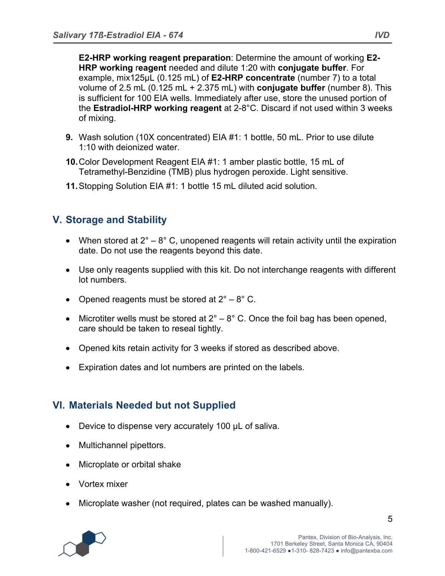**E2-HRP working reagent preparation**: Determine the amount of working **E2- HRP working** r**eagent** needed and dilute 1:20 with **conjugate buffer**. For example, mix125µL (0.125 mL) of **E2-HRP concentrate** (number 7) to a total volume of 2.5 mL (0.125 mL + 2.375 mL) with **conjugate buffer** (number 8). This is sufficient for 100 EIA wells. Immediately after use, store the unused portion of the **Estradiol-HRP working reagent** at 2-8°C. Discard if not used within 3 weeks of mixing.

- **9.** Wash solution (10X concentrated) EIA #1: 1 bottle, 50 mL. Prior to use dilute 1:10 with deionized water.
- **10.**Color Development Reagent EIA #1: 1 amber plastic bottle, 15 mL of Tetramethyl-Benzidine (TMB) plus hydrogen peroxide. Light sensitive.
- **11.**Stopping Solution EIA #1: 1 bottle 15 mL diluted acid solution.

## **V. Storage and Stability**

- When stored at  $2^\circ 8^\circ$  C, unopened reagents will retain activity until the expiration date. Do not use the reagents beyond this date.
- Use only reagents supplied with this kit. Do not interchange reagents with different lot numbers.
- Opened reagents must be stored at  $2^{\circ} 8^{\circ}$  C.
- Microtiter wells must be stored at  $2^\circ 8^\circ$  C. Once the foil bag has been opened, care should be taken to reseal tightly.
- Opened kits retain activity for 3 weeks if stored as described above.
- Expiration dates and lot numbers are printed on the labels.

# **VI. Materials Needed but not Supplied**

- Device to dispense very accurately 100 µL of saliva.
- Multichannel pipettors.
- Microplate or orbital shake
- Vortex mixer
- Microplate washer (not required, plates can be washed manually).

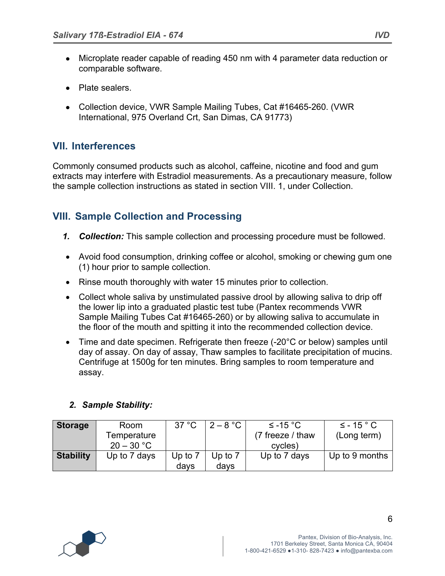- Microplate reader capable of reading 450 nm with 4 parameter data reduction or comparable software.
- Plate sealers.
- Collection device, VWR Sample Mailing Tubes, Cat #16465-260. (VWR International, 975 Overland Crt, San Dimas, CA 91773)

## **VII. Interferences**

Commonly consumed products such as alcohol, caffeine, nicotine and food and gum extracts may interfere with Estradiol measurements. As a precautionary measure, follow the sample collection instructions as stated in section VIII. 1, under Collection.

## **VIII. Sample Collection and Processing**

- *1. Collection:* This sample collection and processing procedure must be followed.
- Avoid food consumption, drinking coffee or alcohol, smoking or chewing gum one (1) hour prior to sample collection.
- Rinse mouth thoroughly with water 15 minutes prior to collection.
- Collect whole saliva by unstimulated passive drool by allowing saliva to drip off the lower lip into a graduated plastic test tube (Pantex recommends VWR Sample Mailing Tubes Cat #16465-260) or by allowing saliva to accumulate in the floor of the mouth and spitting it into the recommended collection device.
- Time and date specimen. Refrigerate then freeze (-20°C or below) samples until day of assay. On day of assay, Thaw samples to facilitate precipitation of mucins. Centrifuge at 1500g for ten minutes. Bring samples to room temperature and assay.

| <b>Storage</b>   | Room         | 37 °C     | $\vert 2 - 8 \degree C \vert$ | $\leq$ -15 °C    | $\leq$ - 15 $\degree$ C |
|------------------|--------------|-----------|-------------------------------|------------------|-------------------------|
|                  | Temperature  |           |                               | (7 freeze / thaw | (Long term)             |
|                  | $20 - 30 °C$ |           |                               | cycles)          |                         |
| <b>Stability</b> | Up to 7 days | Up to $7$ | Up to $7$                     | Up to 7 days     | Up to 9 months          |
|                  |              | days      | days                          |                  |                         |

## *2. Sample Stability:*

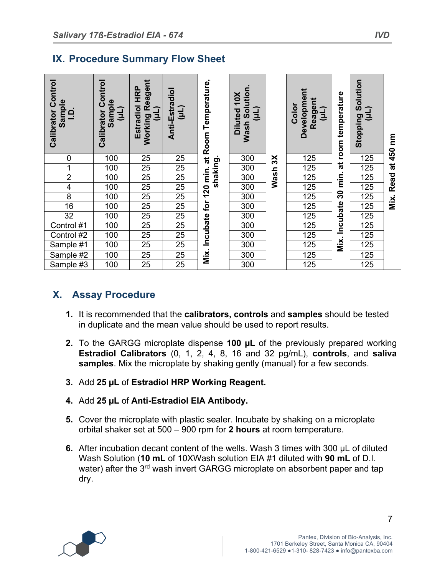## **IX. Procedure Summary Flow Sheet**

| Calibrator Control<br>Sample<br><u>۾</u> | Control<br>Sample<br>ίFί<br>Calibrator | Working Reagent<br><b>HRP</b><br><b>Estradiol</b><br>(11) | Anti-Estradiol<br>(11) | Room Temperature,          | <b>Wash Solution</b><br>Diluted 10X<br>(11) |                     | だ<br>Developme<br>Reagent<br>Color<br>(Tn) | room temperature | Solution<br>(11)<br><b>Stopping</b> | mu<br>450 |
|------------------------------------------|----------------------------------------|-----------------------------------------------------------|------------------------|----------------------------|---------------------------------------------|---------------------|--------------------------------------------|------------------|-------------------------------------|-----------|
| $\mathbf 0$                              | 100                                    | 25                                                        | 25                     | $\vec{a}$                  | 300                                         |                     | 125                                        |                  | 125                                 |           |
| 1                                        | 100                                    | 25                                                        | 25                     |                            | 300                                         |                     | 125                                        | đ                | 125                                 | đ         |
| $\overline{2}$                           | 100                                    | 25                                                        | 25                     | shaking                    | 300                                         | Wash <sub>3</sub> X | 125                                        | min.             | 125                                 |           |
| $\overline{\mathbf{4}}$                  | 100                                    | 25                                                        | 25                     |                            | 300                                         |                     | 125                                        |                  | 125                                 | Read      |
| 8                                        | 100                                    | 25                                                        | 25                     |                            | 300                                         |                     | 125                                        | 30               | 125                                 | Mix.      |
| 16                                       | 100                                    | 25                                                        | 25                     |                            | 300                                         |                     | 125                                        |                  | 125                                 |           |
| 32                                       | 100                                    | 25                                                        | 25                     |                            | 300                                         |                     | 125                                        |                  | 125                                 |           |
| Control #1                               | 100                                    | 25                                                        | 25                     |                            | 300                                         |                     | 125                                        |                  | 125                                 |           |
| Control #2                               | 100                                    | 25                                                        | 25                     |                            | 300                                         |                     | 125                                        |                  | 125                                 |           |
| Sample #1                                | 100                                    | 25                                                        | 25                     | Mix. Incubate for 120 min. | 300                                         |                     | 125                                        | Mix. Incubate    | 125                                 |           |
| Sample #2                                | 100                                    | 25                                                        | 25                     |                            | 300                                         |                     | 125                                        |                  | 125                                 |           |
| Sample $\overline{43}$                   | 100                                    | 25                                                        | 25                     |                            | 300                                         |                     | 125                                        |                  | 125                                 |           |

# **X. Assay Procedure**

- **1.** It is recommended that the **calibrators, controls** and **samples** should be tested in duplicate and the mean value should be used to report results.
- **2.** To the GARGG microplate dispense **100 µL** of the previously prepared working **Estradiol Calibrators** (0, 1, 2, 4, 8, 16 and 32 pg/mL), **controls**, and **saliva samples**. Mix the microplate by shaking gently (manual) for a few seconds.
- **3.** Add **25 µL** of **Estradiol HRP Working Reagent.**
- **4.** Add **25 µL** of **Anti-Estradiol EIA Antibody.**
- **5.** Cover the microplate with plastic sealer. Incubate by shaking on a microplate orbital shaker set at 500 – 900 rpm for **2 hours** at room temperature.
- **6.** After incubation decant content of the wells. Wash 3 times with 300 µL of diluted Wash Solution (**10 mL** of 10XWash solution EIA #1 diluted with **90 mL** of D.I. water) after the 3<sup>rd</sup> wash invert GARGG microplate on absorbent paper and tap dry.

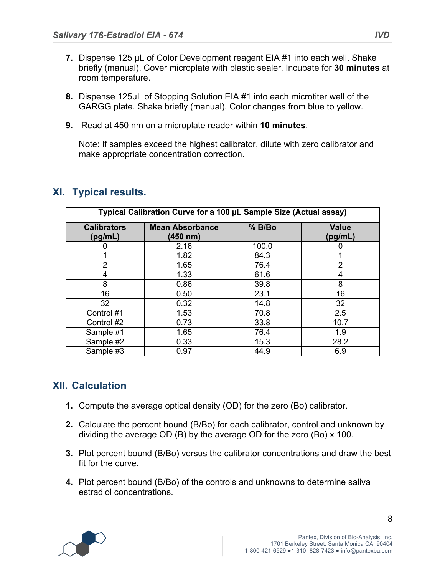- **7.** Dispense 125 µL of Color Development reagent EIA #1 into each well. Shake briefly (manual). Cover microplate with plastic sealer. Incubate for **30 minutes** at room temperature.
- **8.** Dispense 125µL of Stopping Solution EIA #1 into each microtiter well of the GARGG plate. Shake briefly (manual). Color changes from blue to yellow.
- **9.** Read at 450 nm on a microplate reader within **10 minutes**.

Note: If samples exceed the highest calibrator, dilute with zero calibrator and make appropriate concentration correction.

| Typical Calibration Curve for a 100 µL Sample Size (Actual assay) |                                    |          |                         |  |  |  |  |
|-------------------------------------------------------------------|------------------------------------|----------|-------------------------|--|--|--|--|
| <b>Calibrators</b><br>(pg/mL)                                     | <b>Mean Absorbance</b><br>(450 nm) | $%$ B/Bo | <b>Value</b><br>(pg/mL) |  |  |  |  |
|                                                                   | 2.16                               | 100.0    | 0                       |  |  |  |  |
|                                                                   | 1.82                               | 84.3     |                         |  |  |  |  |
| 2                                                                 | 1.65                               | 76.4     | 2                       |  |  |  |  |
| 4                                                                 | 1.33                               | 61.6     | 4                       |  |  |  |  |
| 8                                                                 | 0.86                               | 39.8     | 8                       |  |  |  |  |
| 16                                                                | 0.50                               | 23.1     | 16                      |  |  |  |  |
| 32                                                                | 0.32                               | 14.8     | 32                      |  |  |  |  |
| Control #1                                                        | 1.53                               | 70.8     | 2.5                     |  |  |  |  |
| Control #2                                                        | 0.73                               | 33.8     | 10.7                    |  |  |  |  |
| Sample #1                                                         | 1.65                               | 76.4     | 1.9                     |  |  |  |  |
| Sample #2                                                         | 0.33                               | 15.3     | 28.2                    |  |  |  |  |
| Sample #3                                                         | 0.97                               | 44.9     | 6.9                     |  |  |  |  |

# **XI. Typical results.**

# **XII. Calculation**

- **1.** Compute the average optical density (OD) for the zero (Bo) calibrator.
- **2.** Calculate the percent bound (B/Bo) for each calibrator, control and unknown by dividing the average OD (B) by the average OD for the zero (Bo) x 100.
- **3.** Plot percent bound (B/Bo) versus the calibrator concentrations and draw the best fit for the curve.
- **4.** Plot percent bound (B/Bo) of the controls and unknowns to determine saliva estradiol concentrations.

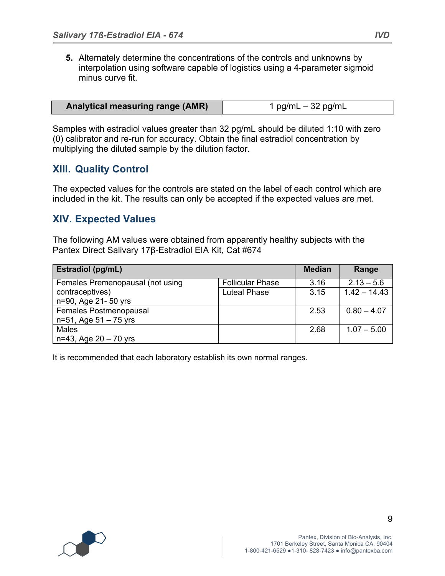**5.** Alternately determine the concentrations of the controls and unknowns by interpolation using software capable of logistics using a 4-parameter sigmoid minus curve fit.

| <b>Analytical measuring range (AMR)</b> | 1 pg/mL $-$ 32 pg/mL |
|-----------------------------------------|----------------------|

Samples with estradiol values greater than 32 pg/mL should be diluted 1:10 with zero (0) calibrator and re-run for accuracy. Obtain the final estradiol concentration by multiplying the diluted sample by the dilution factor.

## **XIII. Quality Control**

The expected values for the controls are stated on the label of each control which are included in the kit. The results can only be accepted if the expected values are met.

## **XIV. Expected Values**

The following AM values were obtained from apparently healthy subjects with the Pantex Direct Salivary 17β-Estradiol EIA Kit, Cat #674

| <b>Estradiol (pg/mL)</b>         |                         | <b>Median</b> | Range          |
|----------------------------------|-------------------------|---------------|----------------|
| Females Premenopausal (not using | <b>Follicular Phase</b> | 3.16          | $2.13 - 5.6$   |
| contraceptives)                  | <b>Luteal Phase</b>     | 3.15          | $1.42 - 14.43$ |
| n=90, Age 21-50 yrs              |                         |               |                |
| Females Postmenopausal           |                         | 2.53          | $0.80 - 4.07$  |
| $n=51$ , Age $51 - 75$ yrs       |                         |               |                |
| <b>Males</b>                     |                         | 2.68          | $1.07 - 5.00$  |
| $n=43$ , Age 20 - 70 yrs         |                         |               |                |

It is recommended that each laboratory establish its own normal ranges.

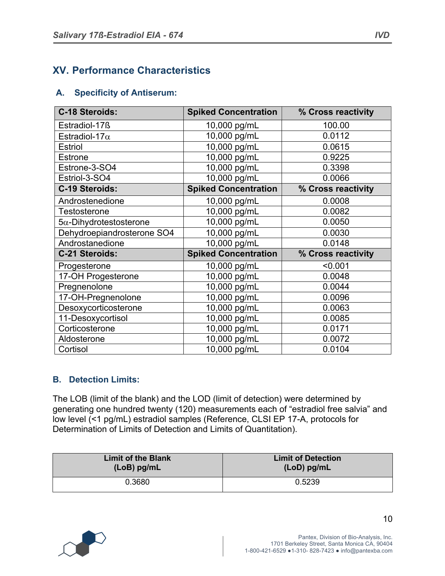# **XV. Performance Characteristics**

## **A. Specificity of Antiserum:**

| <b>C-18 Steroids:</b>          | <b>Spiked Concentration</b> | % Cross reactivity |
|--------------------------------|-----------------------------|--------------------|
| Estradiol-17ß                  | 10,000 pg/mL                | 100.00             |
| Estradiol-17 $\alpha$          | 10,000 pg/mL                | 0.0112             |
| <b>Estriol</b>                 | 10,000 pg/mL                | 0.0615             |
| <b>Estrone</b>                 | 10,000 pg/mL                | 0.9225             |
| Estrone-3-SO4                  | 10,000 pg/mL                | 0.3398             |
| Estriol-3-SO4                  | 10,000 pg/mL                | 0.0066             |
| C-19 Steroids:                 | <b>Spiked Concentration</b> | % Cross reactivity |
| Androstenedione                | 10,000 pg/mL                | 0.0008             |
| <b>Testosterone</b>            | 10,000 pg/mL                | 0.0082             |
| $5\alpha$ -Dihydrotestosterone | 10,000 pg/mL                | 0.0050             |
| Dehydroepiandrosterone SO4     | 10,000 pg/mL                | 0.0030             |
| Androstanedione                | 10,000 pg/mL                | 0.0148             |
| C-21 Steroids:                 | <b>Spiked Concentration</b> | % Cross reactivity |
| Progesterone                   | 10,000 pg/mL                | < 0.001            |
| 17-OH Progesterone             | 10,000 pg/mL                | 0.0048             |
| Pregnenolone                   | 10,000 pg/mL                | 0.0044             |
| 17-OH-Pregnenolone             | 10,000 pg/mL                | 0.0096             |
| Desoxycorticosterone           | 10,000 pg/mL                | 0.0063             |
| 11-Desoxycortisol              | 10,000 pg/mL                | 0.0085             |
| Corticosterone                 | 10,000 pg/mL                | 0.0171             |
| Aldosterone                    | 10,000 pg/mL                | 0.0072             |
| Cortisol                       | 10,000 pg/mL                | 0.0104             |

## **B. Detection Limits:**

The LOB (limit of the blank) and the LOD (limit of detection) were determined by generating one hundred twenty (120) measurements each of "estradiol free salvia" and low level (<1 pg/mL) estradiol samples (Reference, CLSI EP 17-A, protocols for Determination of Limits of Detection and Limits of Quantitation).

| <b>Limit of the Blank</b> | <b>Limit of Detection</b> |
|---------------------------|---------------------------|
| $(LoB)$ pg/mL             | $(LoD)$ pg/mL             |
| 0.3680                    | 0.5239                    |

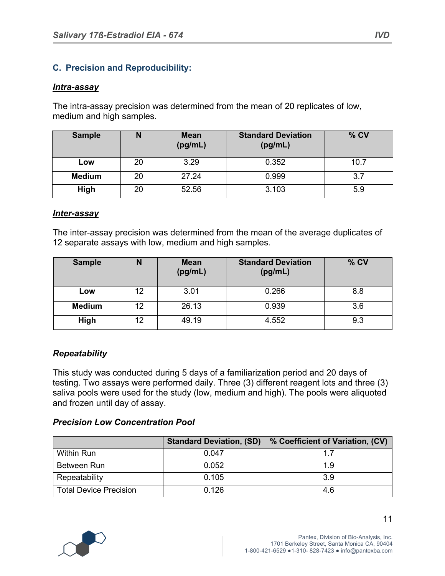## **C. Precision and Reproducibility:**

#### *Intra-assay*

The intra-assay precision was determined from the mean of 20 replicates of low, medium and high samples.

| <b>Sample</b> |    | <b>Mean</b><br>(pg/mL) | <b>Standard Deviation</b><br>(pg/mL) | $%$ CV |
|---------------|----|------------------------|--------------------------------------|--------|
| Low           | 20 | 3.29                   | 0.352                                | 10.7   |
| <b>Medium</b> | 20 | 27.24                  | 0.999                                | 3.7    |
| High          | 20 | 52.56                  | 3.103                                | 5.9    |

#### *Inter-assay*

The inter-assay precision was determined from the mean of the average duplicates of 12 separate assays with low, medium and high samples.

| <b>Sample</b> |    | <b>Mean</b><br>(pg/mL) | <b>Standard Deviation</b><br>(pg/mL) | $%$ CV |
|---------------|----|------------------------|--------------------------------------|--------|
| Low           | 12 | 3.01                   | 0.266                                | 8.8    |
| <b>Medium</b> | 12 | 26.13                  | 0.939                                | 3.6    |
| High          | 12 | 49.19                  | 4.552                                | 9.3    |

## *Repeatability*

This study was conducted during 5 days of a familiarization period and 20 days of testing. Two assays were performed daily. Three (3) different reagent lots and three (3) saliva pools were used for the study (low, medium and high). The pools were aliquoted and frozen until day of assay.

#### *Precision Low Concentration Pool*

|                               | <b>Standard Deviation, (SD)</b> | % Coefficient of Variation, (CV) |
|-------------------------------|---------------------------------|----------------------------------|
| <b>Within Run</b>             | 0.047                           | 17                               |
| Between Run                   | 0.052                           | 19                               |
| Repeatability                 | 0.105                           | 3.9                              |
| <b>Total Device Precision</b> | 0.126                           | 4.6                              |

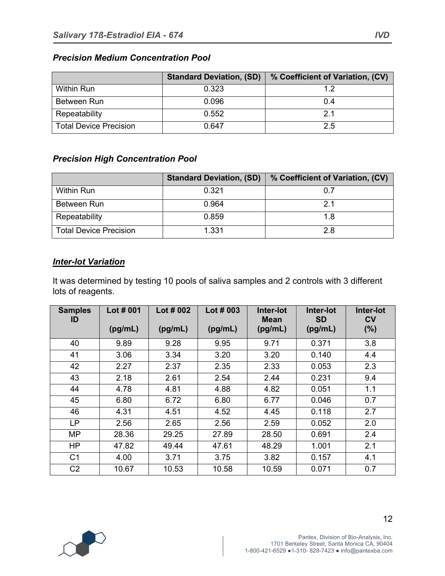|                        | <b>Standard Deviation, (SD)</b> | % Coefficient of Variation, (CV) |
|------------------------|---------------------------------|----------------------------------|
| Within Run             | 0.323                           | ィっ                               |
| Between Run            | 0.096                           | 0 4                              |
| Repeatability          | 0.552                           | 2.1                              |
| Total Device Precision | 0.647                           | 25                               |

#### *Precision Medium Concentration Pool*

## *Precision High Concentration Pool*

|                               | <b>Standard Deviation, (SD)</b> | % Coefficient of Variation, (CV) |
|-------------------------------|---------------------------------|----------------------------------|
| <b>Within Run</b>             | 0.321                           | 0.7                              |
| Between Run                   | 0.964                           | っ                                |
| Repeatability                 | 0.859                           | 18                               |
| <b>Total Device Precision</b> | 1.331                           | 2 R                              |

## *Inter-lot Variation*

It was determined by testing 10 pools of saliva samples and 2 controls with 3 different lots of reagents.

| <b>Samples</b><br>ID | Lot # 001 | Lot # 002 | Lot $#003$ | Inter-lot<br>Mean | Inter-lot<br><b>SD</b> | Inter-lot<br>CV |
|----------------------|-----------|-----------|------------|-------------------|------------------------|-----------------|
|                      | (pg/mL)   | (pg/mL)   | (pg/mL)    | (pg/mL)           | (pg/mL)                | (%)             |
| 40                   | 9.89      | 9.28      | 9.95       | 9.71              | 0.371                  | 3.8             |
| 41                   | 3.06      | 3.34      | 3.20       | 3.20              | 0.140                  | 4.4             |
| 42                   | 2.27      | 2.37      | 2.35       | 2.33              | 0.053                  | 2.3             |
| 43                   | 2.18      | 2.61      | 2.54       | 2.44              | 0.231                  | 9.4             |
| 44                   | 4.78      | 4.81      | 4.88       | 4.82              | 0.051                  | 1.1             |
| 45                   | 6.80      | 6.72      | 6.80       | 6.77              | 0.046                  | 0.7             |
| 46                   | 4.31      | 4.51      | 4.52       | 4.45              | 0.118                  | 2.7             |
| LP                   | 2.56      | 2.65      | 2.56       | 2.59              | 0.052                  | 2.0             |
| <b>MP</b>            | 28.36     | 29.25     | 27.89      | 28.50             | 0.691                  | 2.4             |
| <b>HP</b>            | 47.82     | 49.44     | 47.61      | 48.29             | 1.001                  | 2.1             |
| C <sub>1</sub>       | 4.00      | 3.71      | 3.75       | 3.82              | 0.157                  | 4.1             |
| C <sub>2</sub>       | 10.67     | 10.53     | 10.58      | 10.59             | 0.071                  | 0.7             |

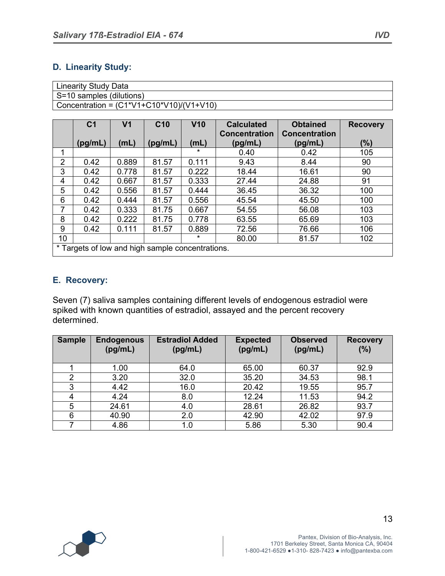## **D. Linearity Study:**

| <b>Linearity Study Data</b>                |
|--------------------------------------------|
| S=10 samples (dilutions)                   |
| Concentration = $(C1*V1+C10*V10)/(V1+V10)$ |

|                                                  | C <sub>1</sub> | V <sub>1</sub> | C <sub>10</sub> | V10     | <b>Calculated</b><br><b>Concentration</b> | <b>Obtained</b><br><b>Concentration</b> | <b>Recovery</b> |
|--------------------------------------------------|----------------|----------------|-----------------|---------|-------------------------------------------|-----------------------------------------|-----------------|
|                                                  | (pg/mL)        | (mL)           | (pg/mL)         | (mL)    | (pg/mL)                                   | (pg/mL)                                 | (%)             |
| 4                                                |                |                |                 | $\star$ | 0.40                                      | 0.42                                    | 105             |
| $\overline{2}$                                   | 0.42           | 0.889          | 81.57           | 0.111   | 9.43                                      | 8.44                                    | 90              |
| 3                                                | 0.42           | 0.778          | 81.57           | 0.222   | 18.44                                     | 16.61                                   | 90              |
| 4                                                | 0.42           | 0.667          | 81.57           | 0.333   | 27.44                                     | 24.88                                   | 91              |
| 5                                                | 0.42           | 0.556          | 81.57           | 0.444   | 36.45                                     | 36.32                                   | 100             |
| 6                                                | 0.42           | 0.444          | 81.57           | 0.556   | 45.54                                     | 45.50                                   | 100             |
| 7                                                | 0.42           | 0.333          | 81.75           | 0.667   | 54.55                                     | 56.08                                   | 103             |
| 8                                                | 0.42           | 0.222          | 81.75           | 0.778   | 63.55                                     | 65.69                                   | 103             |
| 9                                                | 0.42           | 0.111          | 81.57           | 0.889   | 72.56                                     | 76.66                                   | 106             |
| 10                                               |                |                |                 | $\star$ | 80.00                                     | 81.57                                   | 102             |
| * Targets of low and high sample concentrations. |                |                |                 |         |                                           |                                         |                 |

#### **E. Recovery:**

Seven (7) saliva samples containing different levels of endogenous estradiol were spiked with known quantities of estradiol, assayed and the percent recovery determined.

| <b>Sample</b> | <b>Endogenous</b><br>(pg/mL) | <b>Estradiol Added</b><br>(pg/mL) | <b>Expected</b><br>(pg/mL) | <b>Observed</b><br>(pg/mL) | <b>Recovery</b><br>(%) |
|---------------|------------------------------|-----------------------------------|----------------------------|----------------------------|------------------------|
|               | 1.00                         | 64.0                              | 65.00                      | 60.37                      | 92.9                   |
| 2             | 3.20                         | 32.0                              | 35.20                      | 34.53                      | 98.1                   |
| 3             | 4.42                         | 16.0                              | 20.42                      | 19.55                      | 95.7                   |
| 4             | 4.24                         | 8.0                               | 12.24                      | 11.53                      | 94.2                   |
| 5             | 24.61                        | 4.0                               | 28.61                      | 26.82                      | 93.7                   |
| 6             | 40.90                        | 2.0                               | 42.90                      | 42.02                      | 97.9                   |
|               | 4.86                         | 1.0                               | 5.86                       | 5.30                       | 90.4                   |

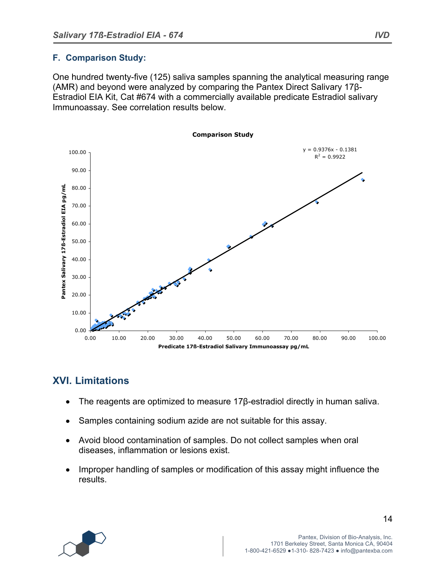## **F. Comparison Study:**

One hundred twenty-five (125) saliva samples spanning the analytical measuring range (AMR) and beyond were analyzed by comparing the Pantex Direct Salivary 17β-Estradiol EIA Kit, Cat #674 with a commercially available predicate Estradiol salivary Immunoassay. See correlation results below.



# **XVI. Limitations**

- The reagents are optimized to measure 17β-estradiol directly in human saliva.
- Samples containing sodium azide are not suitable for this assay.
- Avoid blood contamination of samples. Do not collect samples when oral diseases, inflammation or lesions exist.
- Improper handling of samples or modification of this assay might influence the results.

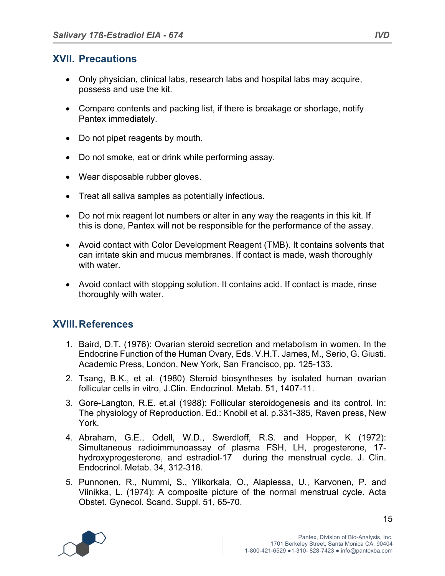## **XVII. Precautions**

- Only physician, clinical labs, research labs and hospital labs may acquire, possess and use the kit.
- Compare contents and packing list, if there is breakage or shortage, notify Pantex immediately.
- Do not pipet reagents by mouth.
- Do not smoke, eat or drink while performing assay.
- Wear disposable rubber gloves.
- Treat all saliva samples as potentially infectious.
- Do not mix reagent lot numbers or alter in any way the reagents in this kit. If this is done, Pantex will not be responsible for the performance of the assay.
- Avoid contact with Color Development Reagent (TMB). It contains solvents that can irritate skin and mucus membranes. If contact is made, wash thoroughly with water.
- Avoid contact with stopping solution. It contains acid. If contact is made, rinse thoroughly with water.

## **XVIII.References**

- 1. Baird, D.T. (1976): Ovarian steroid secretion and metabolism in women. In the Endocrine Function of the Human Ovary, Eds. V.H.T. James, M., Serio, G. Giusti. Academic Press, London, New York, San Francisco, pp. 125-133.
- 2. Tsang, B.K., et al. (1980) Steroid biosyntheses by isolated human ovarian follicular cells in vitro, J.Clin. Endocrinol. Metab. 51, 1407-11.
- 3. Gore-Langton, R.E. et.al (1988): Follicular steroidogenesis and its control. In: The physiology of Reproduction. Ed.: Knobil et al. p.331-385, Raven press, New York.
- 4. Abraham, G.E., Odell, W.D., Swerdloff, R.S. and Hopper, K (1972): Simultaneous radioimmunoassay of plasma FSH, LH, progesterone, 17 hydroxyprogesterone, and estradiol-17 during the menstrual cycle. J. Clin. Endocrinol. Metab. 34, 312-318.
- 5. Punnonen, R., Nummi, S., Ylikorkala, O., Alapiessa, U., Karvonen, P. and Viinikka, L. (1974): A composite picture of the normal menstrual cycle. Acta Obstet. Gynecol. Scand. Suppl. 51, 65-70.